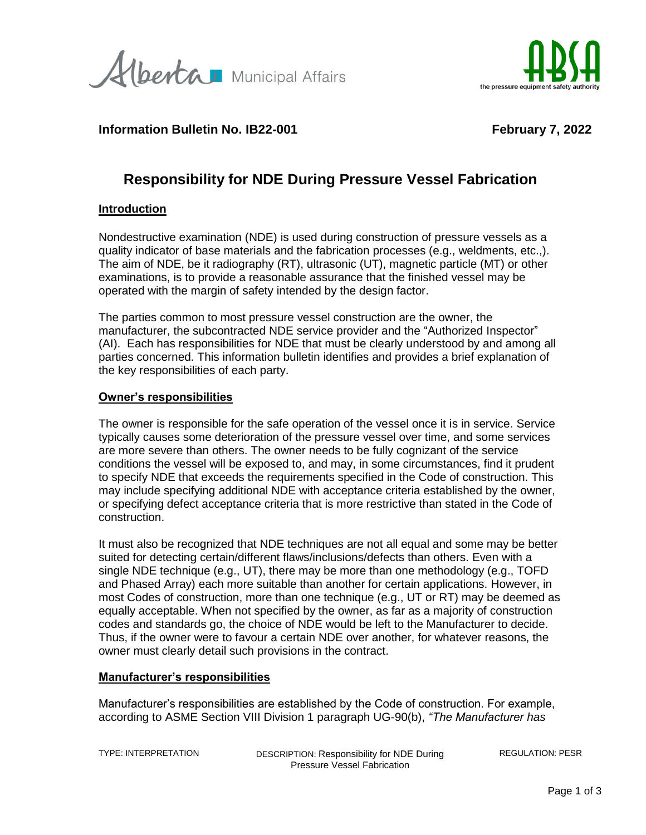



# **Information Bulletin No. IB22-001 February 7, 2022**

# **Responsibility for NDE During Pressure Vessel Fabrication**

#### **Introduction**

Nondestructive examination (NDE) is used during construction of pressure vessels as a quality indicator of base materials and the fabrication processes (e.g., weldments, etc.,). The aim of NDE, be it radiography (RT), ultrasonic (UT), magnetic particle (MT) or other examinations, is to provide a reasonable assurance that the finished vessel may be operated with the margin of safety intended by the design factor.

The parties common to most pressure vessel construction are the owner, the manufacturer, the subcontracted NDE service provider and the "Authorized Inspector" (AI). Each has responsibilities for NDE that must be clearly understood by and among all parties concerned. This information bulletin identifies and provides a brief explanation of the key responsibilities of each party.

#### **Owner's responsibilities**

The owner is responsible for the safe operation of the vessel once it is in service. Service typically causes some deterioration of the pressure vessel over time, and some services are more severe than others. The owner needs to be fully cognizant of the service conditions the vessel will be exposed to, and may, in some circumstances, find it prudent to specify NDE that exceeds the requirements specified in the Code of construction. This may include specifying additional NDE with acceptance criteria established by the owner, or specifying defect acceptance criteria that is more restrictive than stated in the Code of construction.

It must also be recognized that NDE techniques are not all equal and some may be better suited for detecting certain/different flaws/inclusions/defects than others. Even with a single NDE technique (e.g., UT), there may be more than one methodology (e.g., TOFD and Phased Array) each more suitable than another for certain applications. However, in most Codes of construction, more than one technique (e.g., UT or RT) may be deemed as equally acceptable. When not specified by the owner, as far as a majority of construction codes and standards go, the choice of NDE would be left to the Manufacturer to decide. Thus, if the owner were to favour a certain NDE over another, for whatever reasons, the owner must clearly detail such provisions in the contract.

## **Manufacturer's responsibilities**

Manufacturer's responsibilities are established by the Code of construction. For example, according to ASME Section VIII Division 1 paragraph UG-90(b), *"The Manufacturer has* 

REGULATION: PESR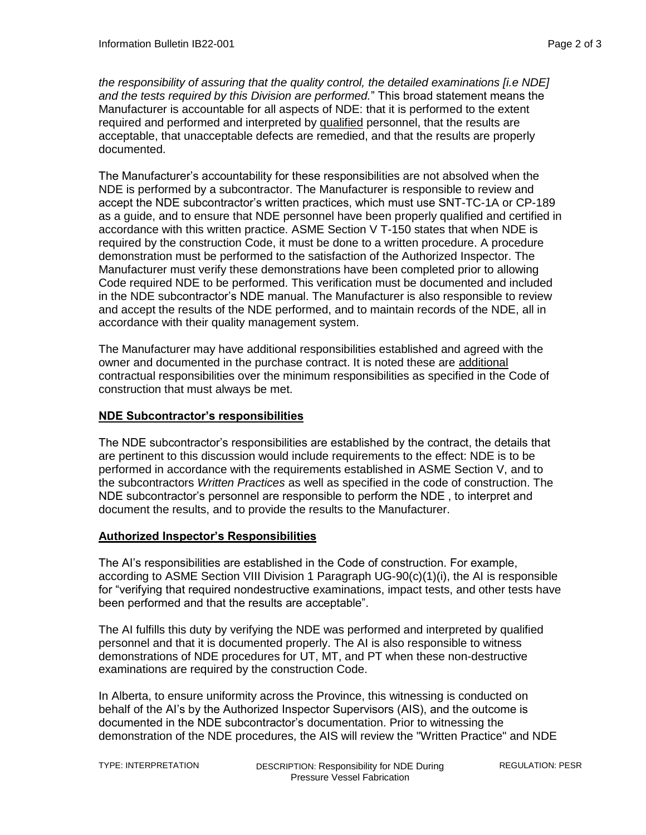*the responsibility of assuring that the quality control, the detailed examinations [i.e NDE] and the tests required by this Division are performed.*" This broad statement means the Manufacturer is accountable for all aspects of NDE: that it is performed to the extent required and performed and interpreted by qualified personnel, that the results are acceptable, that unacceptable defects are remedied, and that the results are properly documented.

The Manufacturer's accountability for these responsibilities are not absolved when the NDE is performed by a subcontractor. The Manufacturer is responsible to review and accept the NDE subcontractor's written practices, which must use SNT-TC-1A or CP-189 as a guide, and to ensure that NDE personnel have been properly qualified and certified in accordance with this written practice. ASME Section V T-150 states that when NDE is required by the construction Code, it must be done to a written procedure. A procedure demonstration must be performed to the satisfaction of the Authorized Inspector. The Manufacturer must verify these demonstrations have been completed prior to allowing Code required NDE to be performed. This verification must be documented and included in the NDE subcontractor's NDE manual. The Manufacturer is also responsible to review and accept the results of the NDE performed, and to maintain records of the NDE, all in accordance with their quality management system.

The Manufacturer may have additional responsibilities established and agreed with the owner and documented in the purchase contract. It is noted these are additional contractual responsibilities over the minimum responsibilities as specified in the Code of construction that must always be met.

## **NDE Subcontractor's responsibilities**

The NDE subcontractor's responsibilities are established by the contract, the details that are pertinent to this discussion would include requirements to the effect: NDE is to be performed in accordance with the requirements established in ASME Section V, and to the subcontractors *Written Practices* as well as specified in the code of construction. The NDE subcontractor's personnel are responsible to perform the NDE , to interpret and document the results, and to provide the results to the Manufacturer.

#### **Authorized Inspector's Responsibilities**

The AI's responsibilities are established in the Code of construction. For example, according to ASME Section VIII Division 1 Paragraph UG-90(c)(1)(i), the AI is responsible for "verifying that required nondestructive examinations, impact tests, and other tests have been performed and that the results are acceptable".

The AI fulfills this duty by verifying the NDE was performed and interpreted by qualified personnel and that it is documented properly. The AI is also responsible to witness demonstrations of NDE procedures for UT, MT, and PT when these non-destructive examinations are required by the construction Code.

In Alberta, to ensure uniformity across the Province, this witnessing is conducted on behalf of the AI's by the Authorized Inspector Supervisors (AIS), and the outcome is documented in the NDE subcontractor's documentation. Prior to witnessing the demonstration of the NDE procedures, the AIS will review the "Written Practice" and NDE